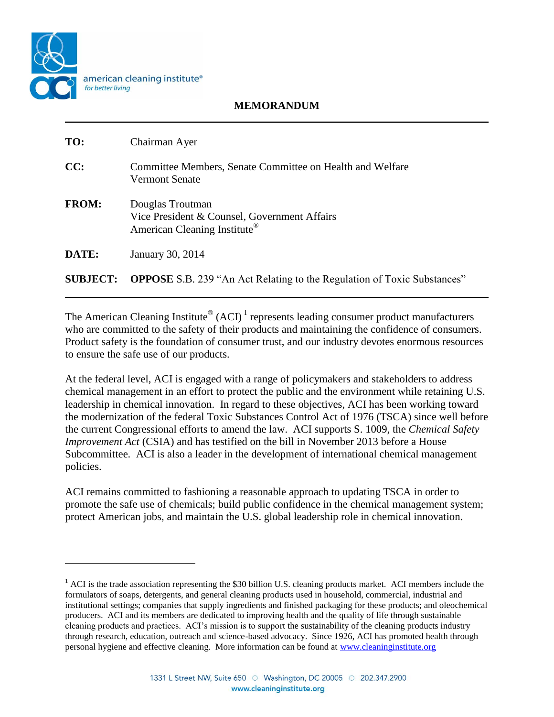

 $\overline{\phantom{a}}$ 

## **MEMORANDUM**

| TO:             | Chairman Ayer                                                                                                |
|-----------------|--------------------------------------------------------------------------------------------------------------|
| CC:             | Committee Members, Senate Committee on Health and Welfare<br><b>Vermont Senate</b>                           |
| <b>FROM:</b>    | Douglas Troutman<br>Vice President & Counsel, Government Affairs<br>American Cleaning Institute <sup>®</sup> |
| DATE:           | January 30, 2014                                                                                             |
| <b>SUBJECT:</b> | <b>OPPOSE</b> S.B. 239 "An Act Relating to the Regulation of Toxic Substances"                               |

The American Cleaning Institute<sup>®</sup> (ACI)<sup>1</sup> represents leading consumer product manufacturers who are committed to the safety of their products and maintaining the confidence of consumers. Product safety is the foundation of consumer trust, and our industry devotes enormous resources to ensure the safe use of our products.

At the federal level, ACI is engaged with a range of policymakers and stakeholders to address chemical management in an effort to protect the public and the environment while retaining U.S. leadership in chemical innovation. In regard to these objectives, ACI has been working toward the modernization of the federal Toxic Substances Control Act of 1976 (TSCA) since well before the current Congressional efforts to amend the law. ACI supports S. 1009, the *Chemical Safety Improvement Act* (CSIA) and has testified on the bill in November 2013 before a House Subcommittee. ACI is also a leader in the development of international chemical management policies.

ACI remains committed to fashioning a reasonable approach to updating TSCA in order to promote the safe use of chemicals; build public confidence in the chemical management system; protect American jobs, and maintain the U.S. global leadership role in chemical innovation.

 $<sup>1</sup>$  ACI is the trade association representing the \$30 billion U.S. cleaning products market. ACI members include the</sup> formulators of soaps, detergents, and general cleaning products used in household, commercial, industrial and institutional settings; companies that supply ingredients and finished packaging for these products; and oleochemical producers. ACI and its members are dedicated to improving health and the quality of life through sustainable cleaning products and practices. ACI's mission is to support the sustainability of the cleaning products industry through research, education, outreach and science-based advocacy. Since 1926, ACI has promoted health through personal hygiene and effective cleaning. More information can be found at [www.cleaninginstitute.org](http://www.cleaninginstitute.org/)